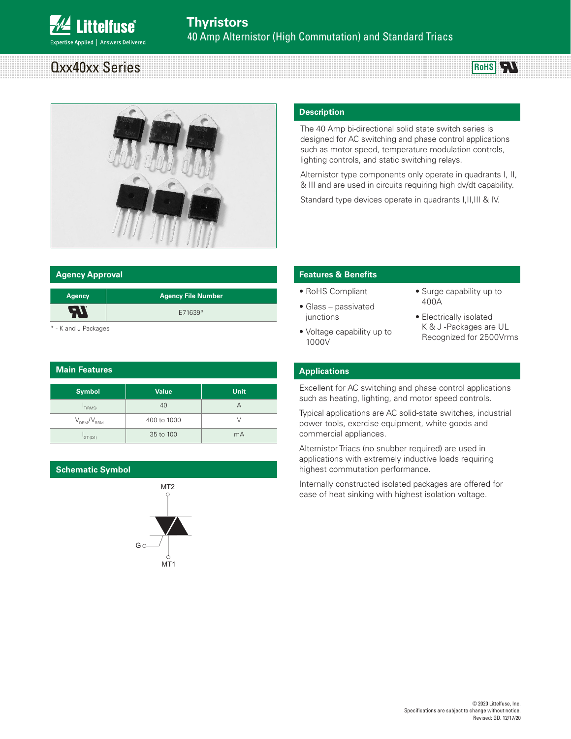# Qxx40xx Series



#### **Agency Approval**

| <b>Agency</b> | <b>Agency File Number</b> |
|---------------|---------------------------|
|               | E71639*                   |
|               |                           |

\* - K and J Packages

| <b>Main Features</b> |              |             |  |  |  |
|----------------------|--------------|-------------|--|--|--|
| Symbol               | <b>Value</b> | <b>Unit</b> |  |  |  |
| T(RMS)               | 40           | А           |  |  |  |
| $V_{DBM}/V_{BBM}$    | 400 to 1000  | V           |  |  |  |
| GT(Q1)               | 35 to 100    | mA          |  |  |  |

#### **Schematic Symbol**



#### **Description**

The 40 Amp bi-directional solid state switch series is designed for AC switching and phase control applications such as motor speed, temperature modulation controls, lighting controls, and static switching relays.

Alternistor type components only operate in quadrants I, II, & III and are used in circuits requiring high dv/dt capability.

Standard type devices operate in quadrants I, II, III & IV.

#### **Features & Benefits**

- RoHS Compliant
- Glass passivated junctions

• Voltage capability up to

• Surge capability up to 400A

**RoHS** 

• Electrically isolated K & J -Packages are UL Recognized for 2500Vrms

#### **Applications**

1000V

Excellent for AC switching and phase control applications such as heating, lighting, and motor speed controls.

Typical applications are AC solid-state switches, industrial power tools, exercise equipment, white goods and commercial appliances.

Alternistor Triacs (no snubber required) are used in applications with extremely inductive loads requiring highest commutation performance.

Internally constructed isolated packages are offered for ease of heat sinking with highest isolation voltage.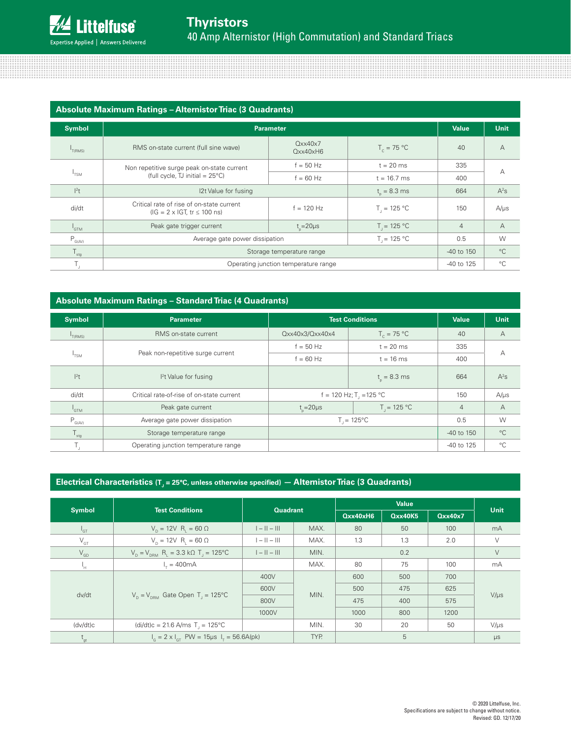| <b>Absolute Maximum Ratings - Alternistor Triac (3 Quadrants)</b> |                                                                                           |                                              |                  |                |                |  |
|-------------------------------------------------------------------|-------------------------------------------------------------------------------------------|----------------------------------------------|------------------|----------------|----------------|--|
| <b>Symbol</b>                                                     | <b>Parameter</b>                                                                          | <b>Value</b>                                 | <b>Unit</b>      |                |                |  |
| $I_{T(RMS)}$                                                      | RMS on-state current (full sine wave)                                                     | Qxx40x7<br>$Q$ <sub>x</sub> $x$ 40 $x$ H $6$ | $T_c = 75 °C$    | 40             | $\overline{A}$ |  |
|                                                                   | Non repetitive surge peak on-state current                                                | $f = 50$ Hz                                  | $t = 20$ ms      | 335            |                |  |
| $1$ TSM                                                           | (full cycle, TJ initial = $25^{\circ}$ C)                                                 | $f = 60$ Hz                                  | $t = 16.7$ ms    | 400            | А              |  |
| $ ^{2}t$                                                          | 12t Value for fusing                                                                      |                                              | $t_{0} = 8.3$ ms | 664            | $A^2S$         |  |
| di/dt                                                             | Critical rate of rise of on-state current<br>$(IG = 2 \times IGT, tr \le 100 \text{ ns})$ | $f = 120$ Hz                                 | $T_{1} = 125 °C$ | 150            | $A/\mu s$      |  |
| I <sub>GTM</sub>                                                  | Peak gate trigger current                                                                 | $t_{0} = 20 \mu s$                           | $T_{1} = 125 °C$ | $\overline{4}$ | $\overline{A}$ |  |
| $P_{G(AV)}$                                                       | $T = 125 °C$<br>Average gate power dissipation                                            |                                              |                  | 0.5            | W              |  |
| $\mathsf{T}_{\mathsf{stg}}$                                       | Storage temperature range                                                                 |                                              |                  | $-40$ to 150   | $^{\circ}C$    |  |
| T,                                                                |                                                                                           | Operating junction temperature range         |                  | -40 to 125     | $^{\circ}C$    |  |

#### **Absolute Maximum Ratings – Standard Triac (4 Quadrants)**

| <b>Symbol</b>                          | <b>Parameter</b>                          | <b>Test Conditions</b> |                                     | <b>Value</b>   | <b>Unit</b>    |
|----------------------------------------|-------------------------------------------|------------------------|-------------------------------------|----------------|----------------|
| T(RMS)                                 | RMS on-state current                      | Qxx40x3/Qxx40x4        | $T_c = 75 °C$                       | 40             | А              |
|                                        | Peak non-repetitive surge current         | $f = 50$ Hz            | $t = 20$ ms                         | 335            | А              |
| I <sub>TSM</sub>                       |                                           | $f = 60$ Hz            | $t = 16$ ms                         | 400            |                |
| $ ^{2}t$                               | <sup>2</sup> t Value for fusing           |                        | $t_{0} = 8.3$ ms                    | 664            | $A^2S$         |
| di/dt                                  | Critical rate-of-rise of on-state current |                        | f = 120 Hz; T <sub>1</sub> = 125 °C | 150            | $A/\mu s$      |
| $I_{GTM}$                              | Peak gate current                         | $t_{\circ} = 20 \mu s$ | $T_{1} = 125 °C$                    | $\overline{4}$ | $\overline{A}$ |
| $\mathsf{P}_{\mathsf{G}(\mathsf{AV})}$ | Average gate power dissipation            |                        | $T_{1} = 125^{\circ}C$              | 0.5            | W              |
| $\mathsf{T}_{\text{stg}}$              | Storage temperature range                 |                        |                                     | -40 to 150     | $^{\circ}$ C   |
| Τ,                                     | Operating junction temperature range      |                        |                                     | -40 to 125     | $^{\circ}C$    |

## Electrical Characteristics (T<sub>J</sub> = 25°C, unless otherwise specified) — Alternistor Triac (3 Quadrants)

|                            | <b>Test Conditions</b>                                         |                |                 | <b>Value</b> |                |         | <b>Unit</b> |
|----------------------------|----------------------------------------------------------------|----------------|-----------------|--------------|----------------|---------|-------------|
| <b>Symbol</b>              |                                                                |                | <b>Quadrant</b> |              | <b>Qxx40K5</b> | Qxx40x7 |             |
| $^1$ GT                    | $V_p = 12V$ R <sub>1</sub> = 60 $\Omega$                       | $ -  -   $     | MAX.            | 80           | 50             | 100     | mA          |
| $V_{GT}$                   | $V_{\text{n}} = 12V R_{\text{i}} = 60 \Omega$                  | $ -  -   $     | MAX.            | 1.3          | 1.3            | 2.0     | V           |
| $\mathsf{V}_{\mathsf{GD}}$ | $V_p = V_{pPA}$ R <sub>1</sub> = 3.3 kΩ T <sub>1</sub> = 125°C | $1 -    -    $ | MIN.            | 0.2          |                |         | V           |
| Ч.                         | $L = 400mA$                                                    |                | MAX.            | 80           | 75             | 100     | mA          |
|                            | $V_p = V_{pBM}$ Gate Open T <sub>1</sub> = 125°C               | 400V           |                 | 600          | 500            | 700     |             |
| dv/dt                      |                                                                | 600V           | MIN.            | 500          | 475            | 625     |             |
|                            |                                                                | 800V           |                 | 475          | 400            | 575     | $V/\mu s$   |
|                            |                                                                | 1000V          |                 | 1000         | 800            | 1200    |             |
| (dv/dt)c                   | $(di/dt)c = 21.6$ A/ms T <sub>1</sub> = 125°C                  |                | MIN.            | 30           | 20             | 50      | $V/\mu s$   |
| $t_{gt}$                   | $I_c = 2 \times I_{cT}$ PW = 15µs $I_T = 56.6A(pk)$            |                | TYP.            |              | 5              |         | $\mu s$     |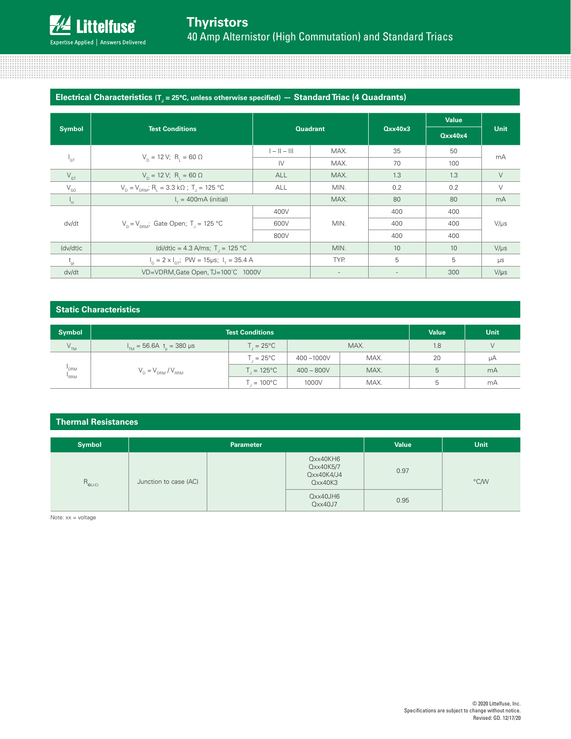,,,,,,,,,,,,,,,,,,,,,,,,,,,,

# **Electrical Characteristics** (T<sub>J</sub> = 25°C, unless otherwise specified) — Standard Triac (4 Quadrants)

| <b>Symbol</b>              | <b>Test Conditions</b>                                              |                | <b>Quadrant</b> | Qxx40x3 | Value<br>Qxx40x4 | Unit      |
|----------------------------|---------------------------------------------------------------------|----------------|-----------------|---------|------------------|-----------|
|                            |                                                                     | $1 - 11 - 111$ | MAX.            | 35      | 50               | mA        |
| $L_{\text{GT}}$            | $V_{p} = 12 \text{ V}; R_{i} = 60 \Omega$                           | IV             | MAX.            | 70      | 100              |           |
| $V_{GT}$                   | $V_{p} = 12 \text{ V}; R_{i} = 60 \Omega$                           | ALL            | MAX.            | 1.3     | 1.3              | $\vee$    |
| $\rm V_{\rm GD}$           | $V_p = V_{p,ph}$ ; R <sub>1</sub> = 3.3 kΩ; T <sub>1</sub> = 125 °C | ALL            | MIN.            | 0.2     | 0.2              | $\vee$    |
| Ч.                         | $Ir = 400mA (initial)$                                              |                | MAX.            | 80      | 80               | mA        |
|                            |                                                                     | 400V           |                 | 400     | 400              |           |
| dv/dt                      | $V_p = V_{p,gal}$ ; Gate Open; T <sub>1</sub> = 125 °C              | 600V           | MIN.            | 400     | 400              | $V/\mu s$ |
|                            |                                                                     | 800V           |                 | 400     | 400              |           |
| (dv/dt)c                   | (di/dt)c = 4.3 A/ms; T = 125 °C                                     |                | MIN.            | 10      | 10               | $V/\mu s$ |
| $\mathsf{t}_{\mathsf{gt}}$ | $I_c = 2 \times I_{cr}$ ; PW = 15µs; $I_r = 35.4$ A                 |                | TYP.            | 5       | 5                | $\mu s$   |
| dv/dt                      | VD=VDRM, Gate Open, TJ=100°C 1000V                                  |                |                 |         | 300              | $V/\mu s$ |

and the contract of the contract of the contract of the contract of the contract of the contract of the contract of

#### **Static Characteristics**

| <b>Symbol</b>                        | <b>Test Conditions</b>                         |                        |              |      |     | <b>Unit</b> |
|--------------------------------------|------------------------------------------------|------------------------|--------------|------|-----|-------------|
| $\mathsf{V}_{\mathsf{TM}}$           | $I_{\text{m}}$ = 56.6A t <sub>r</sub> = 380 µs | $T = 25^{\circ}C$      | MAX.         |      | 1.8 |             |
| <sup>'</sup> DRM<br><sup>1</sup> RRM | $V_{D} = V_{DRM} / V_{RRM}$                    | $=25^{\circ}$ C        | 400-1000V    | MAX. | 20  | μA          |
|                                      |                                                | $T_{1} = 125^{\circ}C$ | $400 - 800V$ | MAX. |     | mA          |
|                                      |                                                | $T_{1} = 100^{\circ}C$ | 1000V        | MAX. |     | mA          |

#### **Thermal Resistances**

| <b>Symbol</b>                                          | <b>Parameter</b>      |                        | <b>Value</b>                                   | <b>Unit</b> |      |
|--------------------------------------------------------|-----------------------|------------------------|------------------------------------------------|-------------|------|
| $\mathsf{R}_{_{\Theta(\mathsf{J}\text{-}\mathsf{C})}}$ | Junction to case (AC) |                        | Qxx40KH6<br>Qxx40K5/7<br>Qxx40K4/J4<br>Qxx40K3 | 0.97        | °C/W |
|                                                        |                       | $Q$ xx40JH6<br>Qxx40J7 | 0.95                                           |             |      |

Note: xx = voltage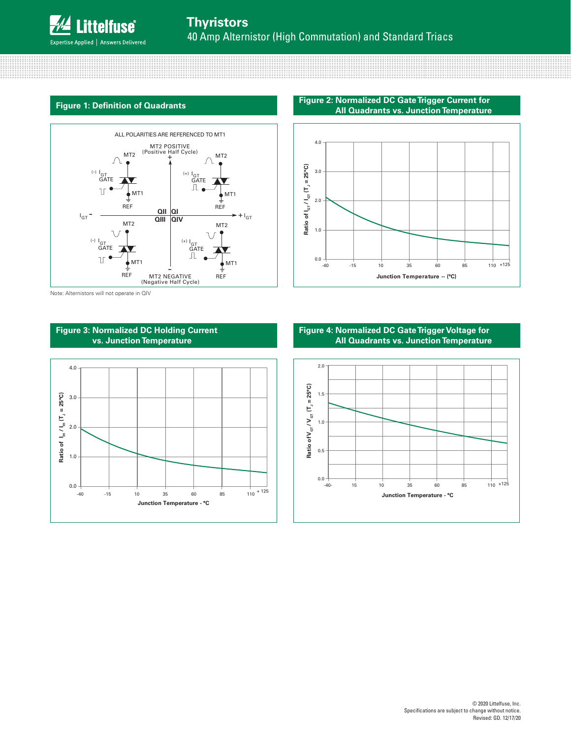

<u> 1999 - 1999 - 1999 - 1999 - 1999 - 1999 - 1999 - 1999 - 1999 - 1999 - 1999 - 1999 - 1999 - 1999 - 1999 - 19</u>

## **Figure 1: Definition of Quadrants**



Note: Alternistors will not operate in QIV



**Figure 2: Normalized DC Gate Trigger Current for All Quadrants vs. Junction Temperature**



#### **Figure 4: Normalized DC Gate Trigger Voltage for All Quadrants vs. Junction Temperature**

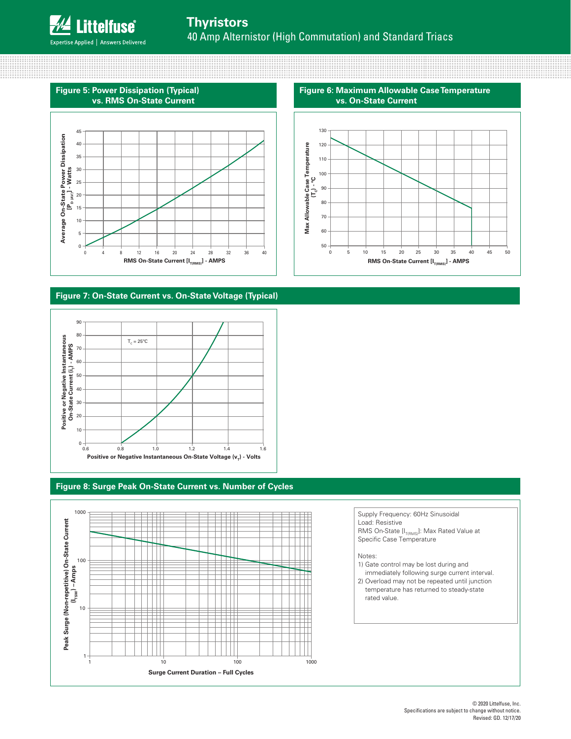# **Thyristors** 40 Amp Alternistor (High Commutation) and Standard Triacs

Expertise Applied | Answers Delivered

## **Figure 5: Power Dissipation (Typical) vs. RMS On-State Current**



#### **Figure 7: On-State Current vs. On-State Voltage (Typical)**



## **Figure 8: Surge Peak On-State Current vs. Number of Cycles**



50 60 70 80 90 100 110 120 130 0 5 10 15 20 25 30 35 40 45 50 **Max Allowable Case Temperature**  Max Allowable Case Temperature<br> $(\mathsf{T}_c)$  - ºC

**Figure 6: Maximum Allowable Case Temperature** 

**vs. On-State Current**

**RMS On-State Current [I<sub>T(RMS)</sub>] - AMPS** 

#### Supply Frequency: 60Hz Sinusoidal Load: Resistive RMS On-State  $[I_{T(RMS)}]$ : Max Rated Value at Specific Case Temperature

#### Notes:

- 1) Gate control may be lost during and immediately following surge current interval. 2) Overload may not be repeated until junction temperature has returned to steady-state
- rated value.

#### © 2020 Littelfuse, Inc. Specifications are subject to change without notice. Revised: GD. 12/17/20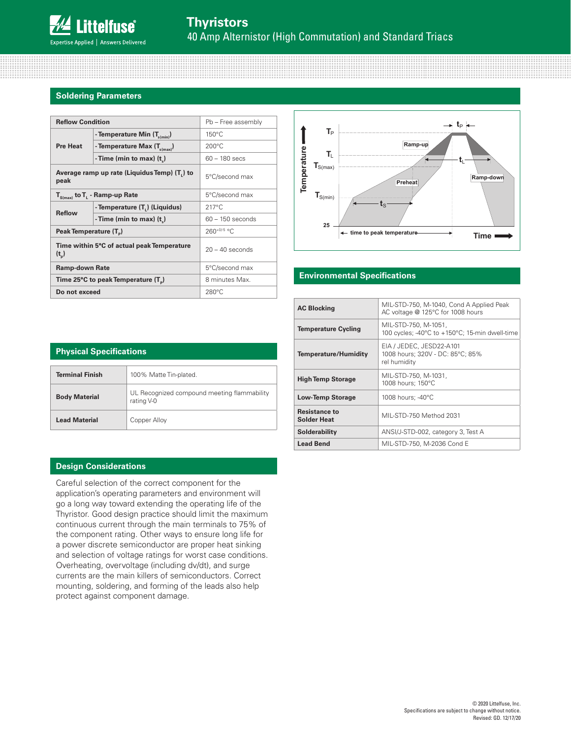8888888888888

#### **Soldering Parameters**

| <b>Reflow Condition</b>                                     |                                             | Pb - Free assembly |  |
|-------------------------------------------------------------|---------------------------------------------|--------------------|--|
|                                                             | - Temperature Min $(T_{s(min)})$            | $150^{\circ}$ C    |  |
| <b>Pre Heat</b>                                             | - Temperature Max $(T_{s(max)})$            | $200^{\circ}$ C    |  |
|                                                             | - Time (min to max) $(t_1)$                 | $60 - 180$ secs    |  |
| peak                                                        | Average ramp up rate (Liquidus Temp) (T) to | 5°C/second max     |  |
| $T_{S(max)}$ to $T_{L}$ - Ramp-up Rate                      |                                             | 5°C/second max     |  |
|                                                             | - Temperature (T.) (Liquidus)               | $217^{\circ}$ C    |  |
| <b>Reflow</b>                                               | - Time (min to max) $(t_$ )                 | $60 - 150$ seconds |  |
| Peak Temperature (T <sub>n</sub> )                          |                                             | 260+0/-5 °C        |  |
| Time within 5°C of actual peak Temperature<br>$(t_{\rm n})$ |                                             | $20 - 40$ seconds  |  |
| <b>Ramp-down Rate</b>                                       |                                             | 5°C/second max     |  |
| Time 25 $\degree$ C to peak Temperature (T <sub>a</sub> )   |                                             | 8 minutes Max.     |  |
| Do not exceed                                               |                                             | $280^{\circ}$ C    |  |



#### **Environmental Specifications**

| <b>AC Blocking</b>                         | MIL-STD-750, M-1040, Cond A Applied Peak<br>AC voltage @ 125°C for 1008 hours |
|--------------------------------------------|-------------------------------------------------------------------------------|
| <b>Temperature Cycling</b>                 | MIL-STD-750, M-1051,<br>100 cycles; -40°C to +150°C; 15-min dwell-time        |
| <b>Temperature/Humidity</b>                | EIA / JEDEC, JESD22-A101<br>1008 hours; 320V - DC: 85°C; 85%<br>rel humidity  |
| <b>High Temp Storage</b>                   | MIL-STD-750, M-1031,<br>1008 hours; 150°C                                     |
| <b>Low-Temp Storage</b>                    | 1008 hours; -40°C                                                             |
| <b>Resistance to</b><br><b>Solder Heat</b> | MIL-STD-750 Method 2031                                                       |
| Solderability                              | ANSI/J-STD-002, category 3, Test A                                            |
| <b>Lead Bend</b>                           | MIL-STD-750, M-2036 Cond E                                                    |

| <b>Physical Specifications</b> |                                                           |  |  |  |
|--------------------------------|-----------------------------------------------------------|--|--|--|
|                                |                                                           |  |  |  |
| Terminal Finish                | 100% Matte Tin-plated.                                    |  |  |  |
| <b>Body Material</b>           | UL Recognized compound meeting flammability<br>rating V-0 |  |  |  |
| <b>Lead Material</b>           | Copper Alloy                                              |  |  |  |

#### **Design Considerations**

Careful selection of the correct component for the application's operating parameters and environment will go a long way toward extending the operating life of the Thyristor. Good design practice should limit the maximum continuous current through the main terminals to 75% of the component rating. Other ways to ensure long life for a power discrete semiconductor are proper heat sinking and selection of voltage ratings for worst case conditions. Overheating, overvoltage (including dv/dt), and surge currents are the main killers of semiconductors. Correct mounting, soldering, and forming of the leads also help protect against component damage.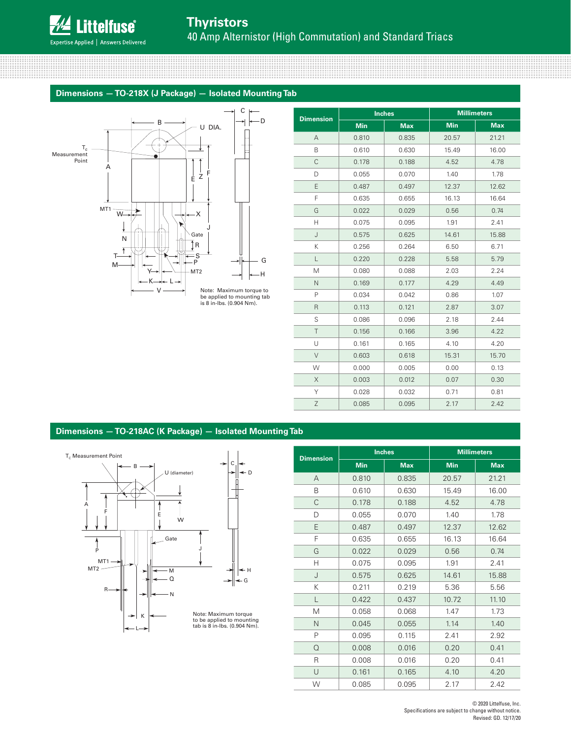mmu

and the contract of the contract of the contract of the contract of the contract of the contract of the contract of

#### **Dimensions — TO-218X (J Package) — Isolated Mounting Tab**



| <b>Dimension</b> |            | <b>Inches</b> |            | <b>Millimeters</b> |
|------------------|------------|---------------|------------|--------------------|
|                  | <b>Min</b> | <b>Max</b>    | <b>Min</b> | <b>Max</b>         |
| $\overline{A}$   | 0.810      | 0.835         | 20.57      | 21.21              |
| B                | 0.610      | 0.630         | 15.49      | 16.00              |
| $\mathsf{C}$     | 0.178      | 0.188         | 4.52       | 4.78               |
| D                | 0.055      | 0.070         | 1.40       | 1.78               |
| E                | 0.487      | 0.497         | 12.37      | 12.62              |
| F                | 0.635      | 0.655         | 16.13      | 16.64              |
| G                | 0.022      | 0.029         | 0.56       | 0.74               |
| н                | 0.075      | 0.095         | 1.91       | 2.41               |
| J                | 0.575      | 0.625         | 14.61      | 15.88              |
| K                | 0.256      | 0.264         | 6.50       | 6.71               |
| L                | 0.220      | 0.228         | 5.58       | 5.79               |
| M                | 0.080      | 0.088         | 2.03       | 2.24               |
| $\mathsf{N}$     | 0.169      | 0.177         | 4.29       | 4.49               |
| P                | 0.034      | 0.042         | 0.86       | 1.07               |
| R                | 0.113      | 0.121         | 2.87       | 3.07               |
| S                | 0.086      | 0.096         | 2.18       | 2.44               |
| T                | 0.156      | 0.166         | 3.96       | 4.22               |
| U                | 0.161      | 0.165         | 4.10       | 4.20               |
| $\vee$           | 0.603      | 0.618         | 15.31      | 15.70              |
| W                | 0.000      | 0.005         | 0.00       | 0.13               |
| X                | 0.003      | 0.012         | 0.07       | 0.30               |
| Y                | 0.028      | 0.032         | 0.71       | 0.81               |
| Z                | 0.085      | 0.095         | 2.17       | 2.42               |

<u> 1111 | 1111 | 1111 | 1111 | 1111 | 1111 | 1111 | 1111 | 1111 | 1111 | 1111 | 1111 | 1111 | 1111 | 1111 | 111</u>

#### **Dimensions — TO-218AC (K Package) — Isolated Mounting Tab**



| <b>Dimension</b> |            | <b>Inches</b> | <b>Millimeters</b> |            |  |
|------------------|------------|---------------|--------------------|------------|--|
|                  | <b>Min</b> | <b>Max</b>    | <b>Min</b>         | <b>Max</b> |  |
| A                | 0.810      | 0.835         | 20.57              | 21.21      |  |
| B                | 0.610      | 0.630         | 15.49              | 16.00      |  |
| C                | 0.178      | 0.188         | 4.52               | 4.78       |  |
| D                | 0.055      | 0.070         | 1.40               | 1.78       |  |
| E                | 0.487      | 0.497         | 12.37              | 12.62      |  |
| F                | 0.635      | 0.655         | 16.13              | 16.64      |  |
| G                | 0.022      | 0.029         | 0.56               | 0.74       |  |
| Н                | 0.075      | 0.095         | 1.91               | 2.41       |  |
| J                | 0.575      | 0.625         | 14.61              | 15.88      |  |
| Κ                | 0.211      | 0.219         | 5.36               | 5.56       |  |
| L                | 0.422      | 0.437         | 10.72              | 11.10      |  |
| M                | 0.058      | 0.068         | 1.47               | 1.73       |  |
| $\mathsf{N}$     | 0.045      | 0.055         | 1.14               | 1.40       |  |
| P                | 0.095      | 0.115         | 2.41               | 2.92       |  |
| $\Omega$         | 0.008      | 0.016         | 0.20               | 0.41       |  |
| R                | 0.008      | 0.016         | 0.20               | 0.41       |  |
| U                | 0.161      | 0.165         | 4.10               | 4.20       |  |
| W                | 0.085      | 0.095         | 2.17               | 2.42       |  |